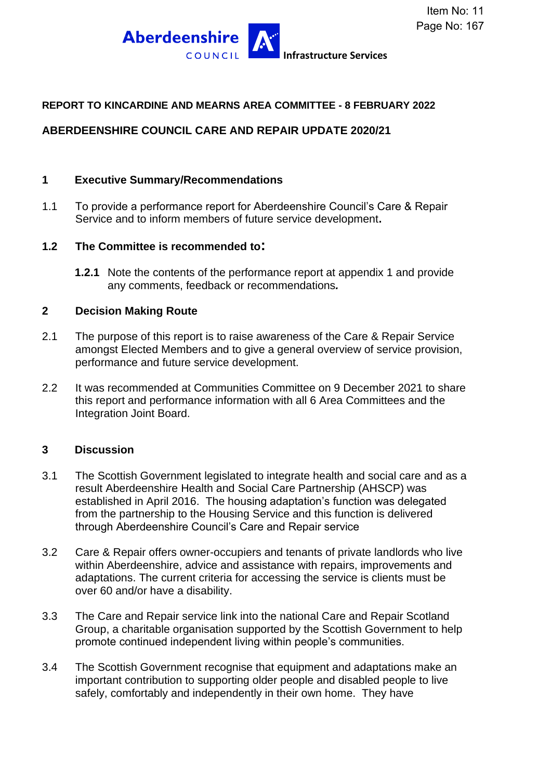

### **REPORT TO KINCARDINE AND MEARNS AREA COMMITTEE - 8 FEBRUARY 2022**

## **ABERDEENSHIRE COUNCIL CARE AND REPAIR UPDATE 2020/21**

#### **1 Executive Summary/Recommendations**

1.1 To provide a performance report for Aberdeenshire Council's Care & Repair Service and to inform members of future service development**.**

#### **1.2 The Committee is recommended to:**

**1.2.1** Note the contents of the performance report at appendix 1 and provide any comments, feedback or recommendations*.*

#### **2 Decision Making Route**

- 2.1 The purpose of this report is to raise awareness of the Care & Repair Service amongst Elected Members and to give a general overview of service provision, performance and future service development.
- 2.2 It was recommended at Communities Committee on 9 December 2021 to share this report and performance information with all 6 Area Committees and the Integration Joint Board.

### **3 Discussion**

- 3.1 The Scottish Government legislated to integrate health and social care and as a result Aberdeenshire Health and Social Care Partnership (AHSCP) was established in April 2016. The housing adaptation's function was delegated from the partnership to the Housing Service and this function is delivered through Aberdeenshire Council's Care and Repair service
- 3.2 Care & Repair offers owner-occupiers and tenants of private landlords who live within Aberdeenshire, advice and assistance with repairs, improvements and adaptations. The current criteria for accessing the service is clients must be over 60 and/or have a disability.
- 3.3 The Care and Repair service link into the national Care and Repair Scotland Group, a charitable organisation supported by the Scottish Government to help promote continued independent living within people's communities.
- 3.4 The Scottish Government recognise that equipment and adaptations make an important contribution to supporting older people and disabled people to live safely, comfortably and independently in their own home. They have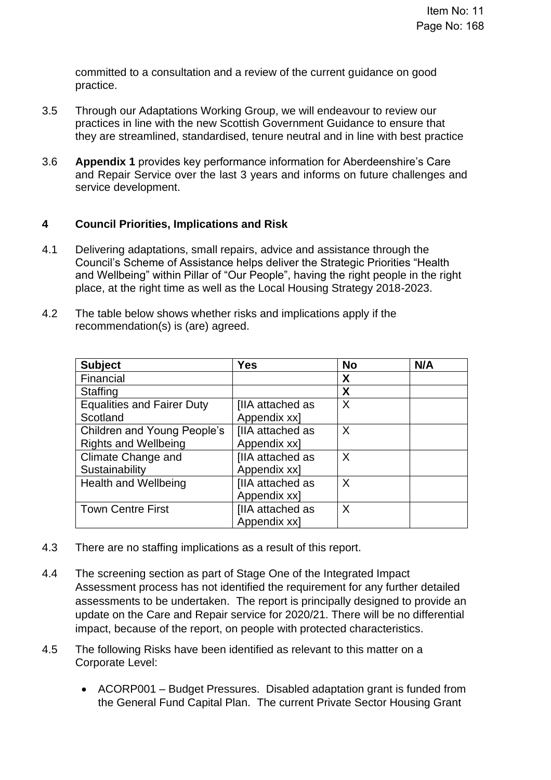committed to a consultation and a review of the current guidance on good practice.

- 3.5 Through our Adaptations Working Group, we will endeavour to review our practices in line with the new Scottish Government Guidance to ensure that they are streamlined, standardised, tenure neutral and in line with best practice
- 3.6 **Appendix 1** provides key performance information for Aberdeenshire's Care and Repair Service over the last 3 years and informs on future challenges and service development.

## **4 Council Priorities, Implications and Risk**

- 4.1 Delivering adaptations, small repairs, advice and assistance through the Council's Scheme of Assistance helps deliver the Strategic Priorities "Health and Wellbeing" within Pillar of "Our People", having the right people in the right place, at the right time as well as the Local Housing Strategy 2018-2023.
- 4.2 The table below shows whether risks and implications apply if the recommendation(s) is (are) agreed.

| <b>Subject</b>                    | Yes                     | <b>No</b> | N/A |
|-----------------------------------|-------------------------|-----------|-----|
| Financial                         |                         | X         |     |
| <b>Staffing</b>                   |                         | X         |     |
| <b>Equalities and Fairer Duty</b> | <b>IIIA</b> attached as | X         |     |
| Scotland                          | Appendix xx]            |           |     |
| Children and Young People's       | <b>IIIA</b> attached as | X         |     |
| <b>Rights and Wellbeing</b>       | Appendix xx]            |           |     |
| Climate Change and                | <b>IIIA</b> attached as | X         |     |
| Sustainability                    | Appendix xx]            |           |     |
| <b>Health and Wellbeing</b>       | <b>IIIA</b> attached as | X         |     |
|                                   | Appendix xx]            |           |     |
| <b>Town Centre First</b>          | <b>IIA</b> attached as  | X         |     |
|                                   | Appendix xx]            |           |     |

- 4.3 There are no staffing implications as a result of this report.
- 4.4 The screening section as part of Stage One of the Integrated Impact Assessment process has not identified the requirement for any further detailed assessments to be undertaken. The report is principally designed to provide an update on the Care and Repair service for 2020/21. There will be no differential impact, because of the report, on people with protected characteristics.
- 4.5 The following Risks have been identified as relevant to this matter on a Corporate Level:
	- ACORP001 Budget Pressures. Disabled adaptation grant is funded from the General Fund Capital Plan. The current Private Sector Housing Grant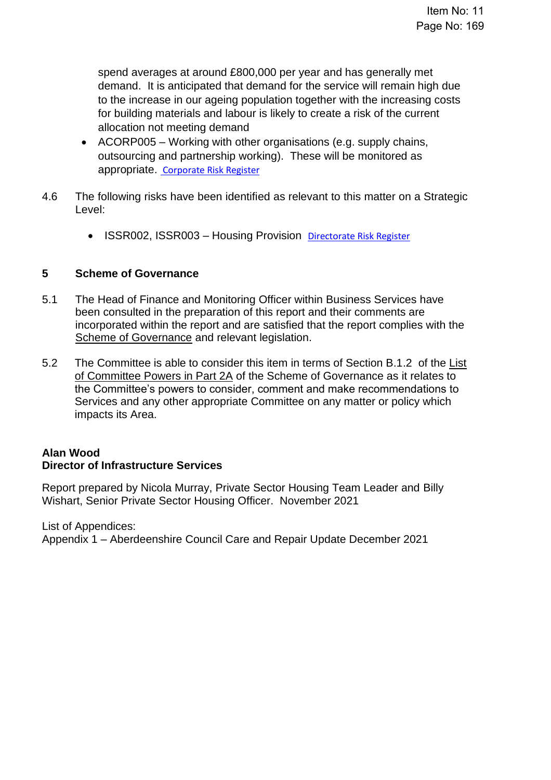spend averages at around £800,000 per year and has generally met demand. It is anticipated that demand for the service will remain high due to the increase in our ageing population together with the increasing costs for building materials and labour is likely to create a risk of the current allocation not meeting demand

- ACORP005 Working with other organisations (e.g. supply chains, outsourcing and partnership working). These will be monitored as appropriate. [Corporate Risk Register](https://aberdeenshire.sharepoint.com/sites/EvidenceBank/Shared%20Documents/General/3.%20Performance/Links%20from%20Narrative/3.5%20External%20Scruitiny%20and%20Risk/34.%20Aberdeenshire%20Corporate%20Risk%20Register.pdf#search=corporate%20risk%20register)
- 4.6 The following risks have been identified as relevant to this matter on a Strategic Level:
	- ISSR002, ISSR003 Housing Provision [Directorate Risk Register](https://aberdeenshire.sharepoint.com/sites/EvidenceBank/Shared%20Documents/General/3.%20Performance/Links%20from%20Narrative/3.5%20External%20Scruitiny%20and%20Risk/35.%20%20Business%20Services%20Directorate%20Risks%20Register.pdf#search=strategic%20risk%20register)

# **5 Scheme of Governance**

- 5.1 The Head of Finance and Monitoring Officer within Business Services have been consulted in the preparation of this report and their comments are incorporated within the report and are satisfied that the report complies with the [Scheme of Governance](https://www.aberdeenshire.gov.uk/council-and-democracy/scheme-of-governance/) and relevant legislation.
- 5.2 The Committee is able to consider this item in terms of Section B.1.2 of the [List](http://publications.aberdeenshire.gov.uk/dataset/c8044f6f-e327-499f-bbc7-94ae9d699559/resource/8d829bb9-95e7-4c83-bc0b-63b76bcba159/download/list-of-committee-powers.pdf)  [of Committee Powers in Part 2A](http://publications.aberdeenshire.gov.uk/dataset/c8044f6f-e327-499f-bbc7-94ae9d699559/resource/8d829bb9-95e7-4c83-bc0b-63b76bcba159/download/list-of-committee-powers.pdf) of the Scheme of Governance as it relates to the Committee's powers to consider, comment and make recommendations to Services and any other appropriate Committee on any matter or policy which impacts its Area.

## **Alan Wood Director of Infrastructure Services**

Report prepared by Nicola Murray, Private Sector Housing Team Leader and Billy Wishart, Senior Private Sector Housing Officer. November 2021

List of Appendices: Appendix 1 – Aberdeenshire Council Care and Repair Update December 2021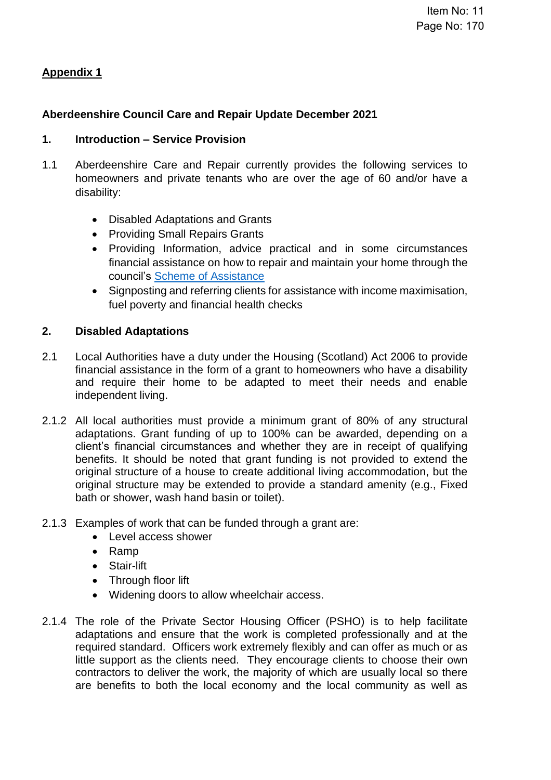# **Appendix 1**

## **Aberdeenshire Council Care and Repair Update December 2021**

## **1. Introduction – Service Provision**

- 1.1 Aberdeenshire Care and Repair currently provides the following services to homeowners and private tenants who are over the age of 60 and/or have a disability:
	- Disabled Adaptations and Grants
	- Providing Small Repairs Grants
	- Providing Information, advice practical and in some circumstances financial assistance on how to repair and maintain your home through the council's [Scheme of Assistance](https://www.aberdeenshire.gov.uk/media/21397/2017-statement-of-assistance-document-final.pdf)
	- Signposting and referring clients for assistance with income maximisation, fuel poverty and financial health checks

### **2. Disabled Adaptations**

- 2.1 Local Authorities have a duty under the Housing (Scotland) Act 2006 to provide financial assistance in the form of a grant to homeowners who have a disability and require their home to be adapted to meet their needs and enable independent living.
- 2.1.2 All local authorities must provide a minimum grant of 80% of any structural adaptations. Grant funding of up to 100% can be awarded, depending on a client's financial circumstances and whether they are in receipt of qualifying benefits. It should be noted that grant funding is not provided to extend the original structure of a house to create additional living accommodation, but the original structure may be extended to provide a standard amenity (e.g., Fixed bath or shower, wash hand basin or toilet).
- 2.1.3 Examples of work that can be funded through a grant are:
	- Level access shower
	- Ramp
	- Stair-lift
	- Through floor lift
	- Widening doors to allow wheelchair access.
- 2.1.4 The role of the Private Sector Housing Officer (PSHO) is to help facilitate adaptations and ensure that the work is completed professionally and at the required standard. Officers work extremely flexibly and can offer as much or as little support as the clients need. They encourage clients to choose their own contractors to deliver the work, the majority of which are usually local so there are benefits to both the local economy and the local community as well as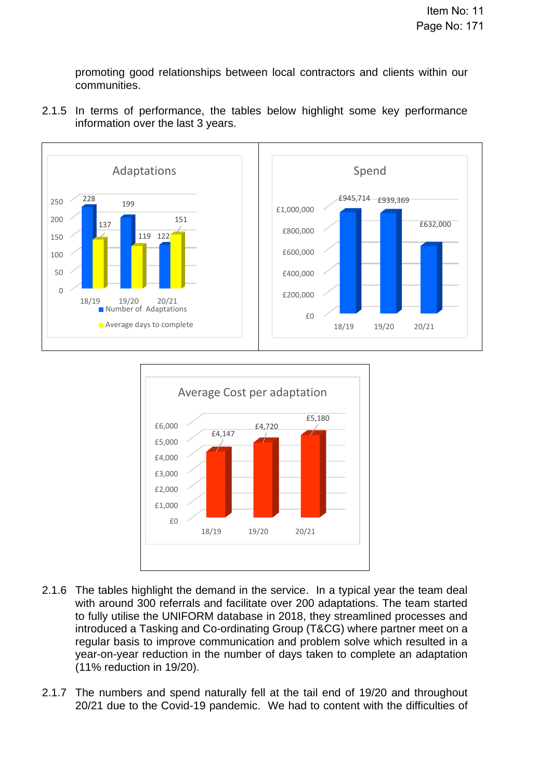promoting good relationships between local contractors and clients within our communities.



2.1.5 In terms of performance, the tables below highlight some key performance information over the last 3 years.



- 2.1.6 The tables highlight the demand in the service. In a typical year the team deal with around 300 referrals and facilitate over 200 adaptations. The team started to fully utilise the UNIFORM database in 2018, they streamlined processes and introduced a Tasking and Co-ordinating Group (T&CG) where partner meet on a regular basis to improve communication and problem solve which resulted in a year-on-year reduction in the number of days taken to complete an adaptation (11% reduction in 19/20).
- 2.1.7 The numbers and spend naturally fell at the tail end of 19/20 and throughout 20/21 due to the Covid-19 pandemic. We had to content with the difficulties of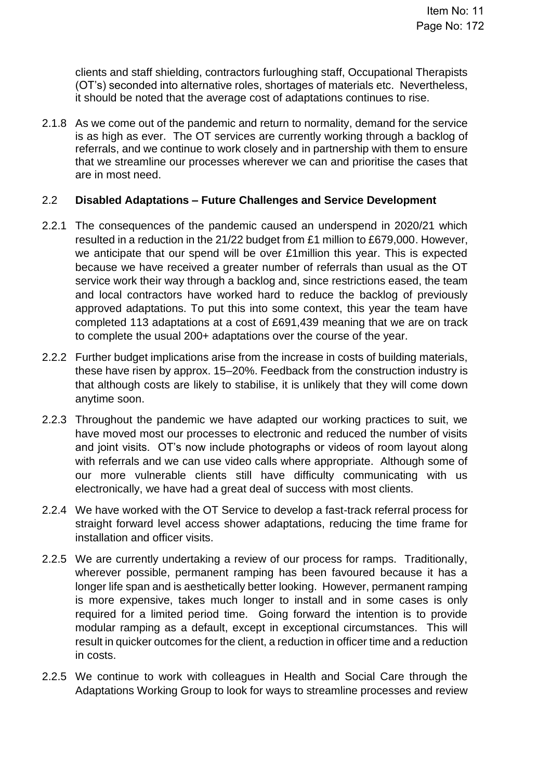clients and staff shielding, contractors furloughing staff, Occupational Therapists (OT's) seconded into alternative roles, shortages of materials etc. Nevertheless, it should be noted that the average cost of adaptations continues to rise.

2.1.8 As we come out of the pandemic and return to normality, demand for the service is as high as ever. The OT services are currently working through a backlog of referrals, and we continue to work closely and in partnership with them to ensure that we streamline our processes wherever we can and prioritise the cases that are in most need.

### 2.2 **Disabled Adaptations – Future Challenges and Service Development**

- 2.2.1 The consequences of the pandemic caused an underspend in 2020/21 which resulted in a reduction in the 21/22 budget from £1 million to £679,000. However, we anticipate that our spend will be over £1million this year. This is expected because we have received a greater number of referrals than usual as the OT service work their way through a backlog and, since restrictions eased, the team and local contractors have worked hard to reduce the backlog of previously approved adaptations. To put this into some context, this year the team have completed 113 adaptations at a cost of £691,439 meaning that we are on track to complete the usual 200+ adaptations over the course of the year.
- 2.2.2 Further budget implications arise from the increase in costs of building materials, these have risen by approx. 15–20%. Feedback from the construction industry is that although costs are likely to stabilise, it is unlikely that they will come down anytime soon.
- 2.2.3 Throughout the pandemic we have adapted our working practices to suit, we have moved most our processes to electronic and reduced the number of visits and joint visits. OT's now include photographs or videos of room layout along with referrals and we can use video calls where appropriate. Although some of our more vulnerable clients still have difficulty communicating with us electronically, we have had a great deal of success with most clients.
- 2.2.4 We have worked with the OT Service to develop a fast-track referral process for straight forward level access shower adaptations, reducing the time frame for installation and officer visits.
- 2.2.5 We are currently undertaking a review of our process for ramps. Traditionally, wherever possible, permanent ramping has been favoured because it has a longer life span and is aesthetically better looking. However, permanent ramping is more expensive, takes much longer to install and in some cases is only required for a limited period time. Going forward the intention is to provide modular ramping as a default, except in exceptional circumstances. This will result in quicker outcomes for the client, a reduction in officer time and a reduction in costs.
- 2.2.5 We continue to work with colleagues in Health and Social Care through the Adaptations Working Group to look for ways to streamline processes and review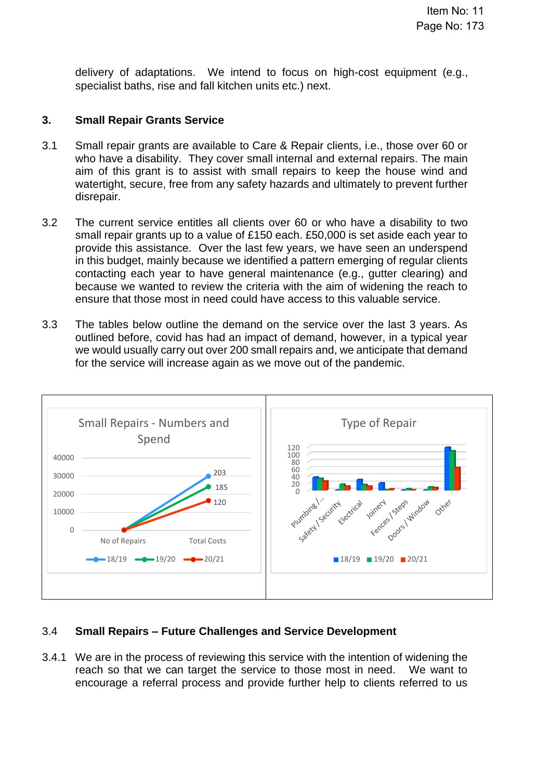delivery of adaptations. We intend to focus on high-cost equipment (e.g., specialist baths, rise and fall kitchen units etc.) next.

## **3. Small Repair Grants Service**

- 3.1 Small repair grants are available to Care & Repair clients, i.e., those over 60 or who have a disability. They cover small internal and external repairs. The main aim of this grant is to assist with small repairs to keep the house wind and watertight, secure, free from any safety hazards and ultimately to prevent further disrepair.
- 3.2 The current service entitles all clients over 60 or who have a disability to two small repair grants up to a value of £150 each. £50,000 is set aside each year to provide this assistance. Over the last few years, we have seen an underspend in this budget, mainly because we identified a pattern emerging of regular clients contacting each year to have general maintenance (e.g., gutter clearing) and because we wanted to review the criteria with the aim of widening the reach to ensure that those most in need could have access to this valuable service.
- 3.3 The tables below outline the demand on the service over the last 3 years. As outlined before, covid has had an impact of demand, however, in a typical year we would usually carry out over 200 small repairs and, we anticipate that demand for the service will increase again as we move out of the pandemic.



# 3.4 **Small Repairs – Future Challenges and Service Development**

3.4.1 We are in the process of reviewing this service with the intention of widening the reach so that we can target the service to those most in need. We want to encourage a referral process and provide further help to clients referred to us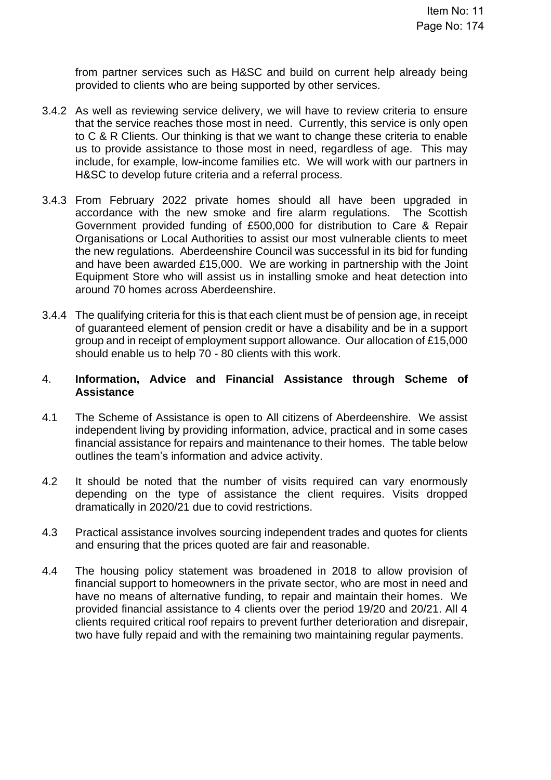from partner services such as H&SC and build on current help already being provided to clients who are being supported by other services.

- 3.4.2 As well as reviewing service delivery, we will have to review criteria to ensure that the service reaches those most in need. Currently, this service is only open to C & R Clients. Our thinking is that we want to change these criteria to enable us to provide assistance to those most in need, regardless of age. This may include, for example, low-income families etc. We will work with our partners in H&SC to develop future criteria and a referral process.
- 3.4.3 From February 2022 private homes should all have been upgraded in accordance with the new smoke and fire alarm regulations. The Scottish Government provided funding of £500,000 for distribution to Care & Repair Organisations or Local Authorities to assist our most vulnerable clients to meet the new regulations. Aberdeenshire Council was successful in its bid for funding and have been awarded £15,000. We are working in partnership with the Joint Equipment Store who will assist us in installing smoke and heat detection into around 70 homes across Aberdeenshire.
- 3.4.4 The qualifying criteria for this is that each client must be of pension age, in receipt of guaranteed element of pension credit or have a disability and be in a support group and in receipt of employment support allowance. Our allocation of £15,000 should enable us to help 70 - 80 clients with this work.

### 4. **Information, Advice and Financial Assistance through Scheme of Assistance**

- 4.1 The Scheme of Assistance is open to All citizens of Aberdeenshire. We assist independent living by providing information, advice, practical and in some cases financial assistance for repairs and maintenance to their homes. The table below outlines the team's information and advice activity.
- 4.2 It should be noted that the number of visits required can vary enormously depending on the type of assistance the client requires. Visits dropped dramatically in 2020/21 due to covid restrictions.
- 4.3 Practical assistance involves sourcing independent trades and quotes for clients and ensuring that the prices quoted are fair and reasonable.
- 4.4 The housing policy statement was broadened in 2018 to allow provision of financial support to homeowners in the private sector, who are most in need and have no means of alternative funding, to repair and maintain their homes. We provided financial assistance to 4 clients over the period 19/20 and 20/21. All 4 clients required critical roof repairs to prevent further deterioration and disrepair, two have fully repaid and with the remaining two maintaining regular payments.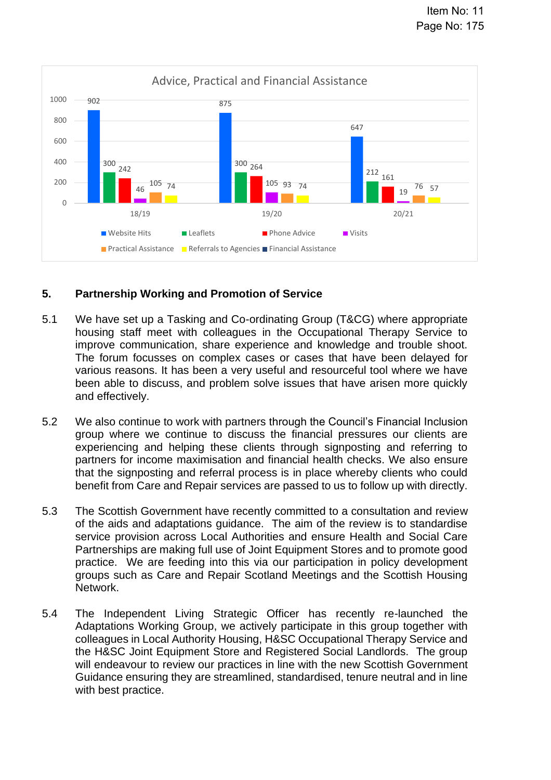

## **5. Partnership Working and Promotion of Service**

- 5.1 We have set up a Tasking and Co-ordinating Group (T&CG) where appropriate housing staff meet with colleagues in the Occupational Therapy Service to improve communication, share experience and knowledge and trouble shoot. The forum focusses on complex cases or cases that have been delayed for various reasons. It has been a very useful and resourceful tool where we have been able to discuss, and problem solve issues that have arisen more quickly and effectively.
- 5.2 We also continue to work with partners through the Council's Financial Inclusion group where we continue to discuss the financial pressures our clients are experiencing and helping these clients through signposting and referring to partners for income maximisation and financial health checks. We also ensure that the signposting and referral process is in place whereby clients who could benefit from Care and Repair services are passed to us to follow up with directly.
- 5.3 The Scottish Government have recently committed to a consultation and review of the aids and adaptations guidance. The aim of the review is to standardise service provision across Local Authorities and ensure Health and Social Care Partnerships are making full use of Joint Equipment Stores and to promote good practice. We are feeding into this via our participation in policy development groups such as Care and Repair Scotland Meetings and the Scottish Housing Network.
- 5.4 The Independent Living Strategic Officer has recently re-launched the Adaptations Working Group, we actively participate in this group together with colleagues in Local Authority Housing, H&SC Occupational Therapy Service and the H&SC Joint Equipment Store and Registered Social Landlords. The group will endeavour to review our practices in line with the new Scottish Government Guidance ensuring they are streamlined, standardised, tenure neutral and in line with best practice.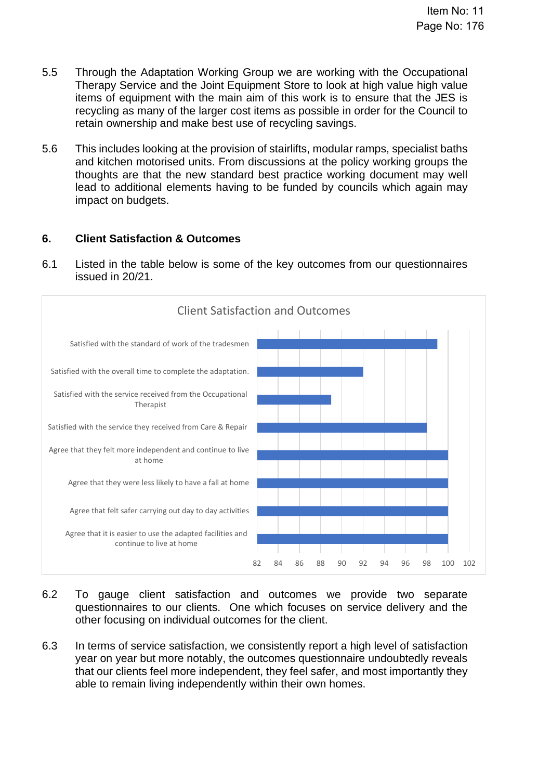- 5.5 Through the Adaptation Working Group we are working with the Occupational Therapy Service and the Joint Equipment Store to look at high value high value items of equipment with the main aim of this work is to ensure that the JES is recycling as many of the larger cost items as possible in order for the Council to retain ownership and make best use of recycling savings.
- 5.6 This includes looking at the provision of stairlifts, modular ramps, specialist baths and kitchen motorised units. From discussions at the policy working groups the thoughts are that the new standard best practice working document may well lead to additional elements having to be funded by councils which again may impact on budgets.

# **6. Client Satisfaction & Outcomes**

6.1 Listed in the table below is some of the key outcomes from our questionnaires issued in 20/21.



- 6.2 To gauge client satisfaction and outcomes we provide two separate questionnaires to our clients. One which focuses on service delivery and the other focusing on individual outcomes for the client.
- 6.3 In terms of service satisfaction, we consistently report a high level of satisfaction year on year but more notably, the outcomes questionnaire undoubtedly reveals that our clients feel more independent, they feel safer, and most importantly they able to remain living independently within their own homes.